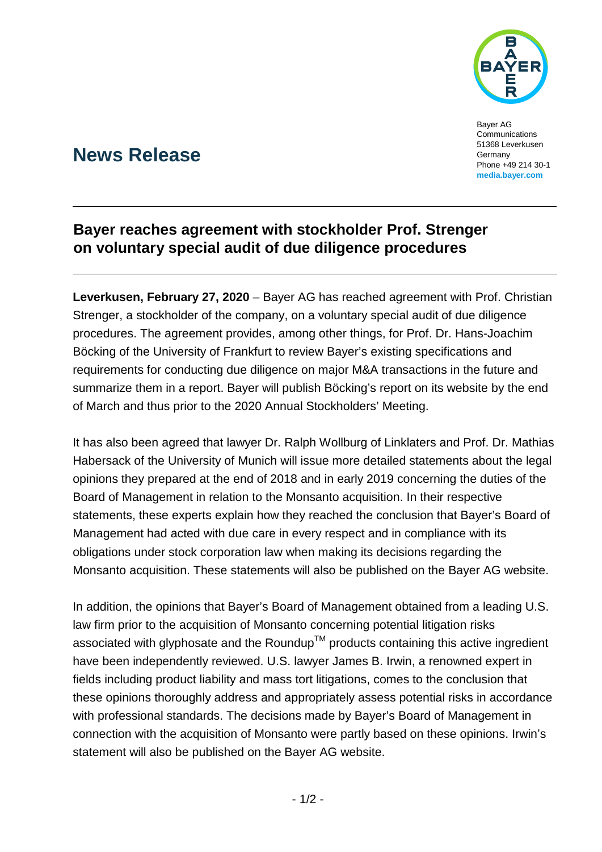

Bayer AG Communications 51368 Leverkusen Germany Phone +49 214 30-1 **[media.bayer.com](http://media.bayer.com/)**

# **News Release**

## **Bayer reaches agreement with stockholder Prof. Strenger on voluntary special audit of due diligence procedures**

**Leverkusen, February 27, 2020** – Bayer AG has reached agreement with Prof. Christian Strenger, a stockholder of the company, on a voluntary special audit of due diligence procedures. The agreement provides, among other things, for Prof. Dr. Hans-Joachim Böcking of the University of Frankfurt to review Bayer's existing specifications and requirements for conducting due diligence on major M&A transactions in the future and summarize them in a report. Bayer will publish Böcking's report on its website by the end of March and thus prior to the 2020 Annual Stockholders' Meeting.

It has also been agreed that lawyer Dr. Ralph Wollburg of Linklaters and Prof. Dr. Mathias Habersack of the University of Munich will issue more detailed statements about the legal opinions they prepared at the end of 2018 and in early 2019 concerning the duties of the Board of Management in relation to the Monsanto acquisition. In their respective statements, these experts explain how they reached the conclusion that Bayer's Board of Management had acted with due care in every respect and in compliance with its obligations under stock corporation law when making its decisions regarding the Monsanto acquisition. These statements will also be published on the Bayer AG website.

In addition, the opinions that Bayer's Board of Management obtained from a leading U.S. law firm prior to the acquisition of Monsanto concerning potential litigation risks associated with glyphosate and the Roundup<sup>TM</sup> products containing this active ingredient have been independently reviewed. U.S. lawyer James B. Irwin, a renowned expert in fields including product liability and mass tort litigations, comes to the conclusion that these opinions thoroughly address and appropriately assess potential risks in accordance with professional standards. The decisions made by Bayer's Board of Management in connection with the acquisition of Monsanto were partly based on these opinions. Irwin's statement will also be published on the Bayer AG website.